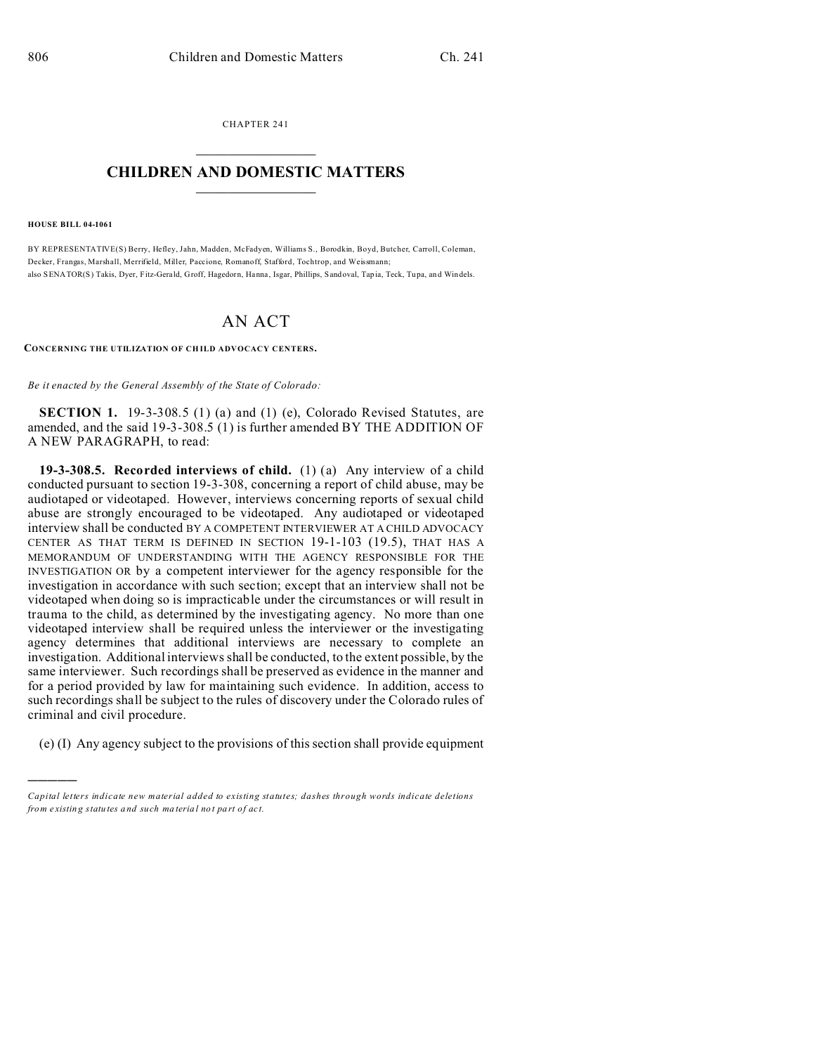CHAPTER 241  $\overline{\phantom{a}}$  , where  $\overline{\phantom{a}}$ 

## **CHILDREN AND DOMESTIC MATTERS**  $\_$   $\_$

**HOUSE BILL 04-1061**

)))))

BY REPRESENTATIVE(S) Berry, Hefley, Jahn, Madden, McFadyen, Williams S., Borodkin, Boyd, Butcher, Carroll, Coleman, Decker, Frangas, Marshall, Merrifield, Miller, Paccione, Romanoff, Stafford, Tochtrop, and Weissmann; also SENATOR(S) Takis, Dyer, Fitz-Gerald, Groff, Hagedorn, Hanna, Isgar, Phillips, Sandoval, Tapia, Teck, Tupa, and Windels.

## AN ACT

**CONCERNING THE UTILIZATION OF CH ILD ADVOCACY CENTERS.**

*Be it enacted by the General Assembly of the State of Colorado:*

**SECTION 1.** 19-3-308.5 (1) (a) and (1) (e), Colorado Revised Statutes, are amended, and the said 19-3-308.5 (1) is further amended BY THE ADDITION OF A NEW PARAGRAPH, to read:

**19-3-308.5. Recorded interviews of child.** (1) (a) Any interview of a child conducted pursuant to section 19-3-308, concerning a report of child abuse, may be audiotaped or videotaped. However, interviews concerning reports of sexual child abuse are strongly encouraged to be videotaped. Any audiotaped or videotaped interview shall be conducted BY A COMPETENT INTERVIEWER AT A CHILD ADVOCACY CENTER AS THAT TERM IS DEFINED IN SECTION 19-1-103 (19.5), THAT HAS A MEMORANDUM OF UNDERSTANDING WITH THE AGENCY RESPONSIBLE FOR THE INVESTIGATION OR by a competent interviewer for the agency responsible for the investigation in accordance with such section; except that an interview shall not be videotaped when doing so is impracticable under the circumstances or will result in trauma to the child, as determined by the investigating agency. No more than one videotaped interview shall be required unless the interviewer or the investigating agency determines that additional interviews are necessary to complete an investigation. Additional interviews shall be conducted, to the extent possible, by the same interviewer. Such recordings shall be preserved as evidence in the manner and for a period provided by law for maintaining such evidence. In addition, access to such recordings shall be subject to the rules of discovery under the Colorado rules of criminal and civil procedure.

(e) (I) Any agency subject to the provisions of this section shall provide equipment

*Capital letters indicate new material added to existing statutes; dashes through words indicate deletions from e xistin g statu tes a nd such ma teria l no t pa rt of ac t.*